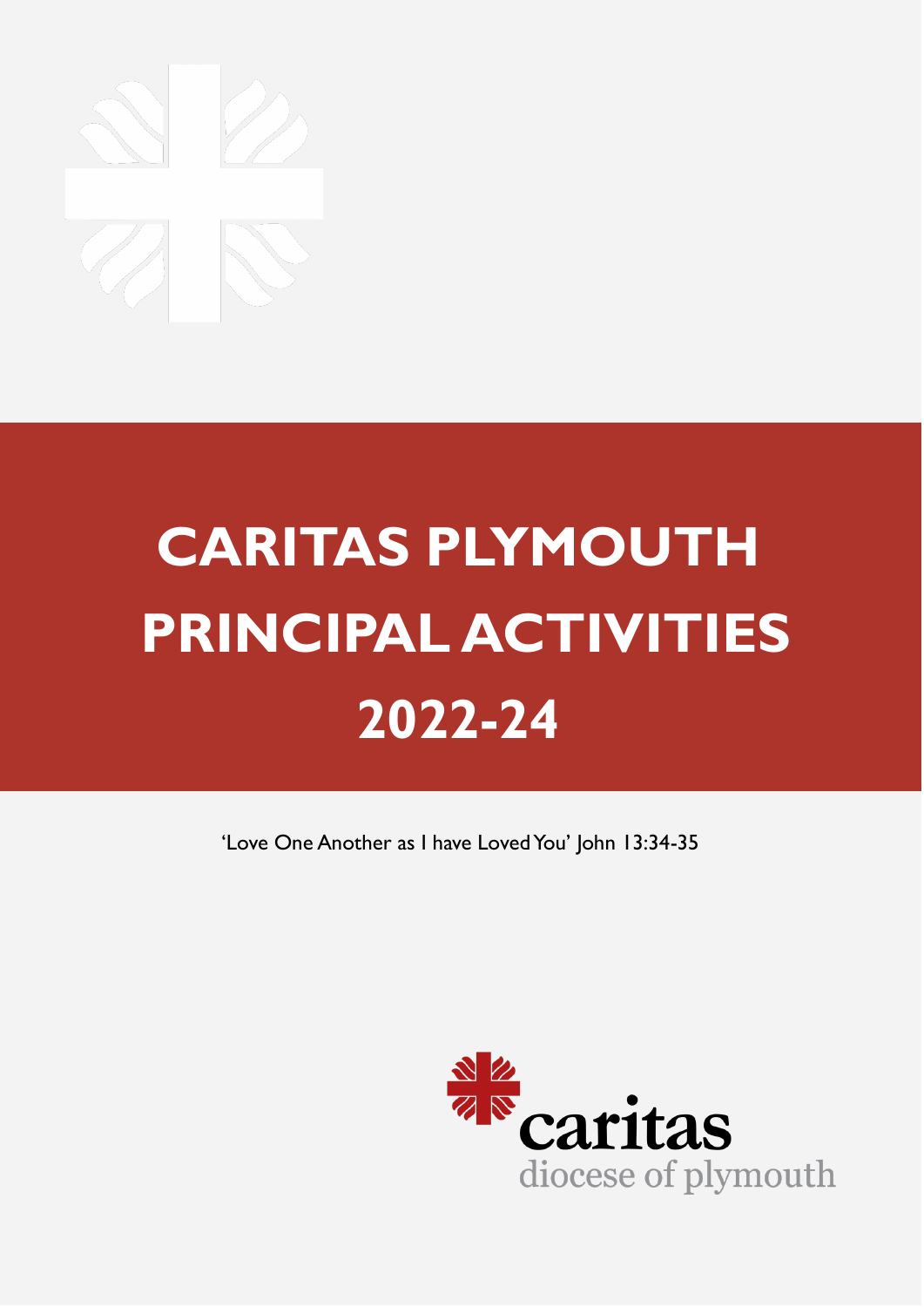# **CARITAS PLYMOUTH PRINCIPAL ACTIVITIES 2022-24**

'Love One Another as I have Loved You' John 13:34-35

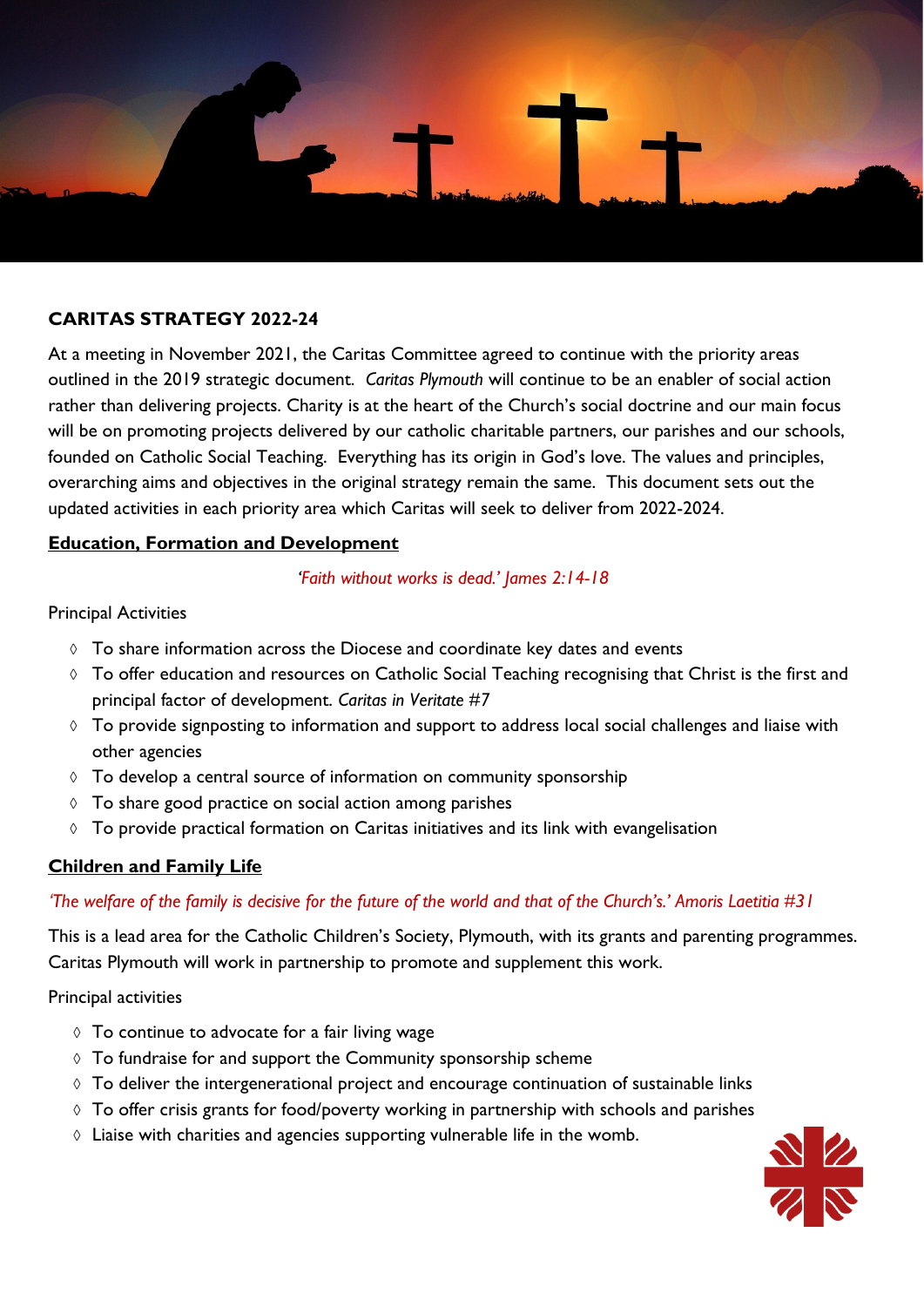

# **CARITAS STRATEGY 2022-24**

At a meeting in November 2021, the Caritas Committee agreed to continue with the priority areas outlined in the 2019 strategic document. *Caritas Plymouth* will continue to be an enabler of social action rather than delivering projects. Charity is at the heart of the Church's social doctrine and our main focus will be on promoting projects delivered by our catholic charitable partners, our parishes and our schools, founded on Catholic Social Teaching. Everything has its origin in God's love. The values and principles, overarching aims and objectives in the original strategy remain the same. This document sets out the updated activities in each priority area which Caritas will seek to deliver from 2022-2024.

# **Education, Formation and Development**

#### *'Faith without works is dead.' James 2:14-18*

## Principal Activities

- $\Diamond$  To share information across the Diocese and coordinate key dates and events
- $\lozenge$  To offer education and resources on Catholic Social Teaching recognising that Christ is the first and principal factor of development. *Caritas in Veritate #7*
- $\Diamond$  To provide signposting to information and support to address local social challenges and liaise with other agencies
- $\lozenge$  To develop a central source of information on community sponsorship
- $\lozenge$  To share good practice on social action among parishes
- $\lozenge$  To provide practical formation on Caritas initiatives and its link with evangelisation

# **Children and Family Life**

# *'The welfare of the family is decisive for the future of the world and that of the Church's.' Amoris Laetitia #31*

This is a lead area for the Catholic Children's Society, Plymouth, with its grants and parenting programmes. Caritas Plymouth will work in partnership to promote and supplement this work.

#### Principal activities

- $\Diamond$  To continue to advocate for a fair living wage
- $\Diamond$  To fundraise for and support the Community sponsorship scheme
- $\Diamond$  To deliver the intergenerational project and encourage continuation of sustainable links
- $\Diamond$  To offer crisis grants for food/poverty working in partnership with schools and parishes
- $\Diamond$  Liaise with charities and agencies supporting vulnerable life in the womb.

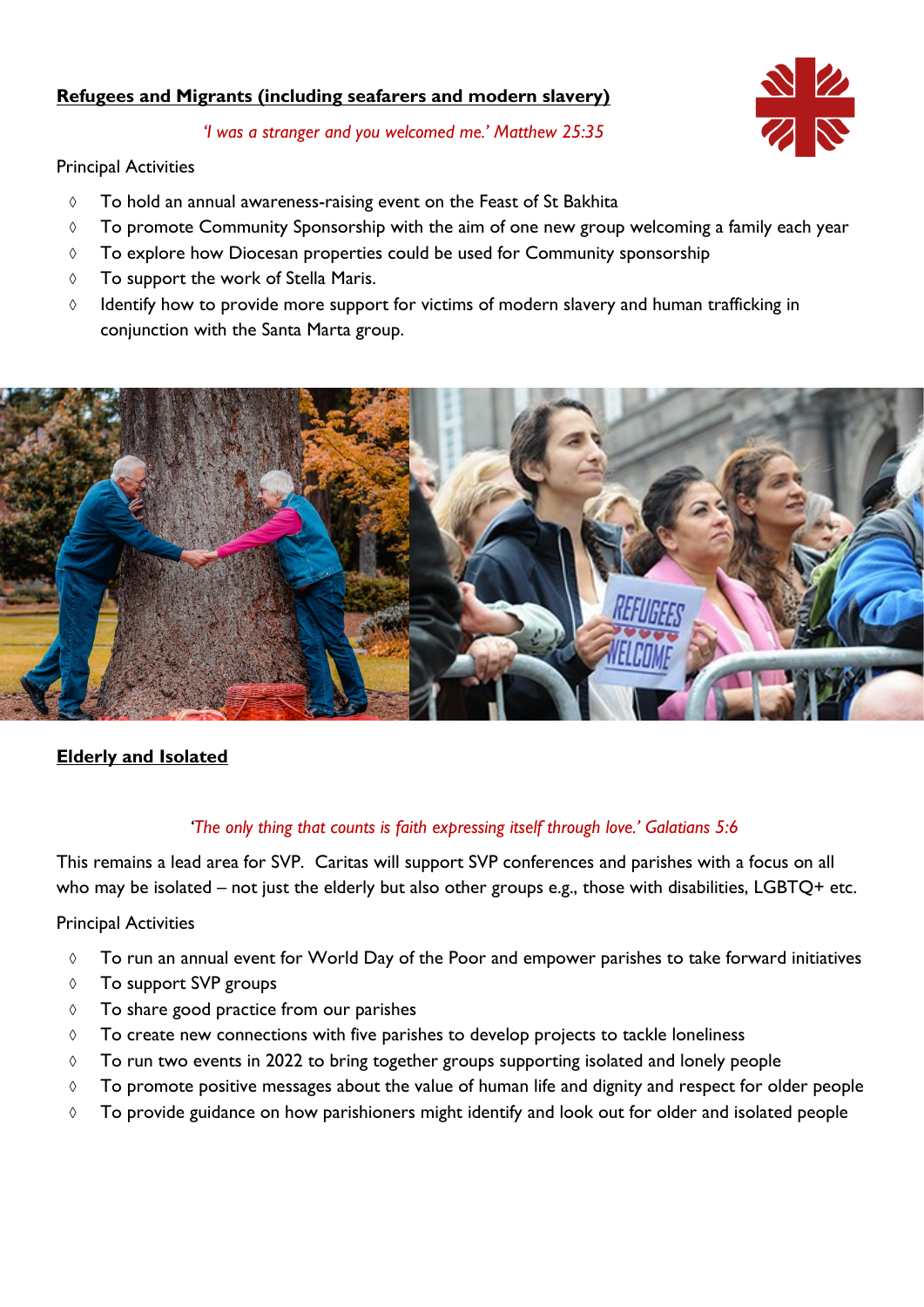# **Refugees and Migrants (including seafarers and modern slavery)**

*'I was a stranger and you welcomed me.' Matthew 25:35* 

# Principal Activities

- To hold an annual awareness-raising event on the Feast of St Bakhita
- $\lozenge$  To promote Community Sponsorship with the aim of one new group welcoming a family each year
- $\lozenge$  To explore how Diocesan properties could be used for Community sponsorship
- $\Diamond$  To support the work of Stella Maris.
- $\Diamond$  Identify how to provide more support for victims of modern slavery and human trafficking in conjunction with the Santa Marta group.



# **Elderly and Isolated**

# *'The only thing that counts is faith expressing itself through love.' Galatians 5:6*

This remains a lead area for SVP. Caritas will support SVP conferences and parishes with a focus on all who may be isolated – not just the elderly but also other groups e.g., those with disabilities, LGBTQ+ etc.

# Principal Activities

- To run an annual event for World Day of the Poor and empower parishes to take forward initiatives
- To support SVP groups
- $\Diamond$  To share good practice from our parishes
- $\lozenge$  To create new connections with five parishes to develop projects to tackle loneliness
- $\lozenge$  To run two events in 2022 to bring together groups supporting isolated and lonely people
- $\lozenge$  To promote positive messages about the value of human life and dignity and respect for older people
- $\lozenge$  To provide guidance on how parishioners might identify and look out for older and isolated people